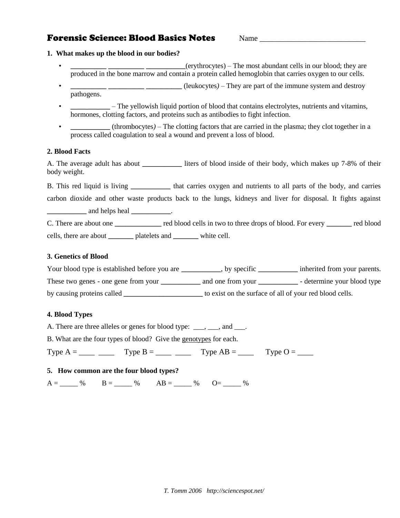# **Forensic Science: Blood Basics Notes** Mame

#### **1. What makes up the blood in our bodies?**

- **\_\_\_\_\_\_\_\_\_\_ \_\_\_\_\_\_\_\_\_\_ \_\_\_\_\_\_\_\_\_\_\_**(erythrocytes) The most abundant cells in our blood; they are produced in the bone marrow and contain a protein called hemoglobin that carries oxygen to our cells.
- **\_\_\_\_\_\_\_\_\_\_ \_\_\_\_\_\_\_\_\_\_ \_\_\_\_\_\_\_\_\_\_** (leukocytes*)* They are part of the immune system and destroy pathogens.
- **\_\_\_\_\_\_\_\_\_\_\_** The yellowish liquid portion of blood that contains electrolytes, nutrients and vitamins, hormones, clotting factors, and proteins such as antibodies to fight infection.
- **\_\_\_\_\_\_\_\_\_\_\_** (thrombocytes*)* The clotting factors that are carried in the plasma; they clot together in a process called coagulation to seal a wound and prevent a loss of blood.

# **2. Blood Facts**

A. The average adult has about **about** liters of blood inside of their body, which makes up 7-8% of their body weight.

B. This red liquid is living **\_\_\_\_\_\_\_\_\_\_\_** that carries oxygen and nutrients to all parts of the body, and carries carbon dioxide and other waste products back to the lungs, kidneys and liver for disposal. It fights against **\_\_\_\_\_\_\_\_\_\_\_** and helps heal **\_\_\_\_\_\_\_\_\_\_\_**.

C. There are about one **\_\_\_\_\_\_\_\_\_\_\_\_\_** red blood cells in two to three drops of blood. For every **\_\_\_\_\_\_\_** red blood cells, there are about **\_\_\_\_\_\_\_** platelets and **\_\_\_\_\_\_\_** white cell.

#### **3. Genetics of Blood**

Your blood type is established before you are \_\_\_\_\_\_\_\_, by specific \_\_\_\_\_\_\_\_\_\_ inherited from your parents. These two genes - one gene from your **\_\_\_\_\_\_\_** and one from your **\_\_\_\_\_\_\_\_** - determine your blood type by causing proteins called **\_\_\_\_\_\_\_\_\_\_\_\_\_\_\_\_\_\_\_\_\_\_** to exist on the surface of all of your red blood cells.

# **4. Blood Types**

A. There are three alleles or genes for blood type: \_\_\_, \_\_\_, and \_\_\_.

B. What are the four types of blood? Give the genotypes for each.

Type  $A =$  \_\_\_\_ \_\_\_\_ Type  $B =$  \_\_\_\_ \_\_\_ Type  $AB =$  \_\_\_\_ Type  $O =$  \_\_\_\_

# **5. How common are the four blood types?**

 $A =$   $\frac{96}{100}$   $B =$   $\frac{96}{100}$   $AB =$   $\frac{96}{100}$   $OB =$   $\frac{96}{100}$   $OB =$   $\frac{96}{100}$